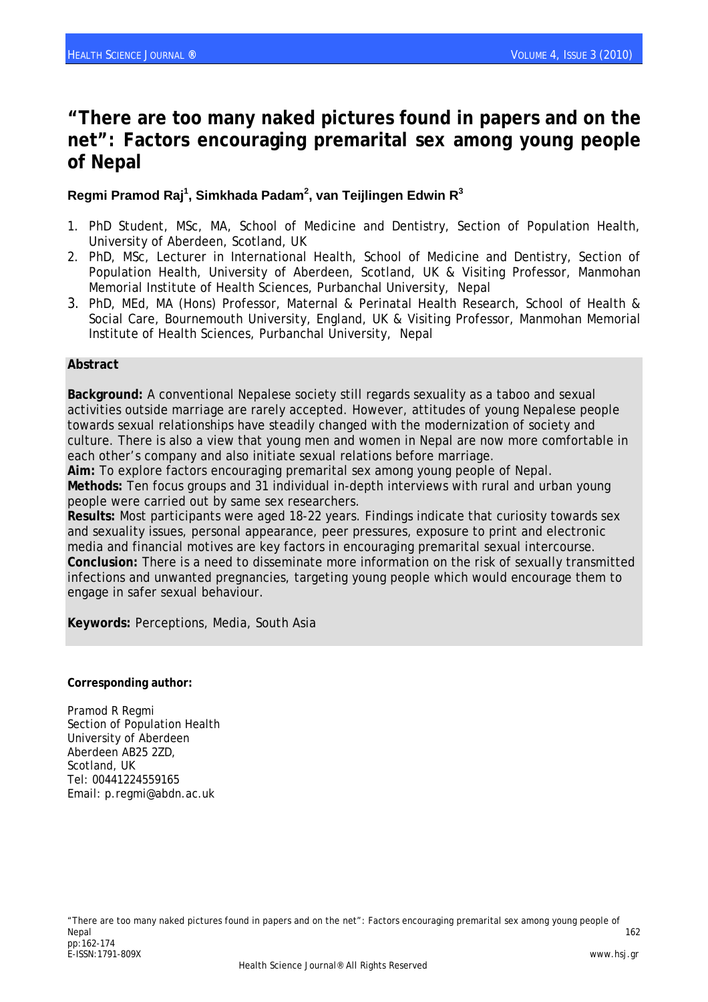# **"There are too many naked pictures found in papers and on the net": Factors encouraging premarital sex among young people of Nepal**

#### **Regmi Pramod Raj1 , Simkhada Padam<sup>2</sup> , van Teijlingen Edwin R3**

- 1. PhD Student, MSc, MA, School of Medicine and Dentistry, Section of Population Health, University of Aberdeen, Scotland, UK
- 2. PhD, MSc, Lecturer in International Health, School of Medicine and Dentistry, Section of Population Health, University of Aberdeen, Scotland, UK & Visiting Professor, Manmohan Memorial Institute of Health Sciences, Purbanchal University, Nepal
- 3. PhD, MEd, MA (Hons) Professor, Maternal & Perinatal Health Research, School of Health & Social Care, Bournemouth University, England, UK & Visiting Professor, Manmohan Memorial Institute of Health Sciences, Purbanchal University, Nepal

#### **Abstract**

**Background:** A conventional Nepalese society still regards sexuality as a taboo and sexual activities outside marriage are rarely accepted. However, attitudes of young Nepalese people towards sexual relationships have steadily changed with the modernization of society and culture. There is also a view that young men and women in Nepal are now more comfortable in each other's company and also initiate sexual relations before marriage.

**Aim:** To explore factors encouraging premarital sex among young people of Nepal. **Methods:** Ten focus groups and 31 individual in-depth interviews with rural and urban young people were carried out by same sex researchers.

**Results:** Most participants were aged 18-22 years. Findings indicate that curiosity towards sex and sexuality issues, personal appearance, peer pressures, exposure to print and electronic media and financial motives are key factors in encouraging premarital sexual intercourse. **Conclusion:** There is a need to disseminate more information on the risk of sexually transmitted infections and unwanted pregnancies, targeting young people which would encourage them to engage in safer sexual behaviour.

**Keywords:** Perceptions, Media, South Asia

**Corresponding author:** 

Pramod R Regmi Section of Population Health University of Aberdeen Aberdeen AB25 2ZD, Scotland, UK Tel: 00441224559165 Email: p.regmi@abdn.ac.uk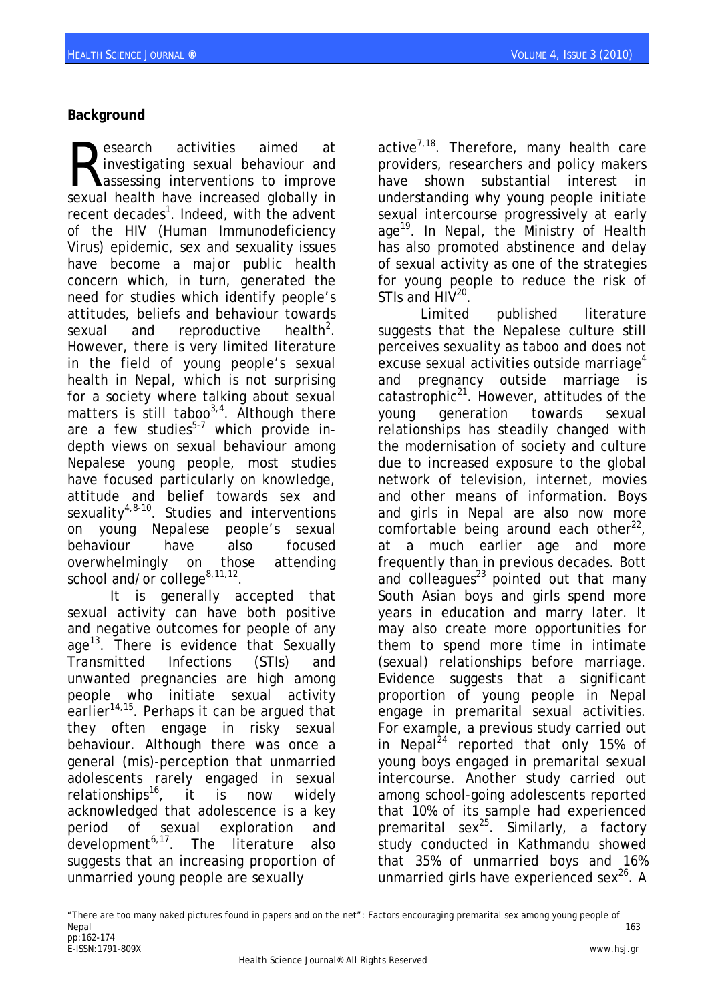## **Background**

esearch activities aimed at investigating sexual behaviour and **Lassessing interventions to improve** Sexual health have increased globally in the sexual health have increased globally in recent decades<sup>1</sup>. Indeed, with the advent of the HIV (Human Immunodeficiency Virus) epidemic, sex and sexuality issues have become a major public health concern which, in turn, generated the need for studies which identify people's attitudes, beliefs and behaviour towards sexual and reproductive  $health<sup>2</sup>$ . However, there is very limited literature in the field of young people's sexual health in Nepal, which is not surprising for a society where talking about sexual matters is still taboo<sup>3,4</sup>. Although there are a few studies<sup>5-7</sup> which provide indepth views on sexual behaviour among Nepalese young people, most studies have focused particularly on knowledge, attitude and belief towards sex and sexuality<sup>4,8-10</sup>. Studies and interventions on young Nepalese people's sexual behaviour have also focused overwhelmingly on those attending school and/or college $8,11,12$ 

It is generally accepted that sexual activity can have both positive and negative outcomes for people of any age<sup>13</sup>. There is evidence that Sexually Transmitted Infections (STIs) and unwanted pregnancies are high among people who initiate sexual activity earlier<sup>14,15</sup>. Perhaps it can be argued that they often engage in risky sexual behaviour. Although there was once a general (mis)-perception that unmarried adolescents rarely engaged in sexual relationships<sup>16</sup>, it is now widely acknowledged that adolescence is a key period of sexual exploration and development $6.17$ . The literature also suggests that an increasing proportion of unmarried young people are sexually

active $^{7,18}$ . Therefore, many health care providers, researchers and policy makers have shown substantial interest in understanding why young people initiate sexual intercourse progressively at early age<sup>19</sup>. In Nepal, the Ministry of Health has also promoted abstinence and delay of sexual activity as one of the strategies for young people to reduce the risk of STIs and  $HIV^{20}$ .

Limited published literature suggests that the Nepalese culture still perceives sexuality as taboo and does not excuse sexual activities outside marriage<sup>4</sup> and pregnancy outside marriage is catastrophic<sup>21</sup>. However, attitudes of the young generation towards sexual relationships has steadily changed with the modernisation of society and culture due to increased exposure to the global network of television, internet, movies and other means of information. Boys and girls in Nepal are also now more comfortable being around each other $^{22}$ , at a much earlier age and more frequently than in previous decades. Bott and colleagues $^{23}$  pointed out that many South Asian boys and girls spend more years in education and marry later. It may also create more opportunities for them to spend more time in intimate (sexual) relationships before marriage. Evidence suggests that a significant proportion of young people in Nepal engage in premarital sexual activities. For example, a previous study carried out in Nepal<sup>24</sup> reported that only 15% of young boys engaged in premarital sexual intercourse. Another study carried out among school-going adolescents reported that 10% of its sample had experienced premarital sex $^{25}$ . Similarly, a factory study conducted in Kathmandu showed that 35% of unmarried boys and 16% unmarried girls have experienced sex $^{26}$ . A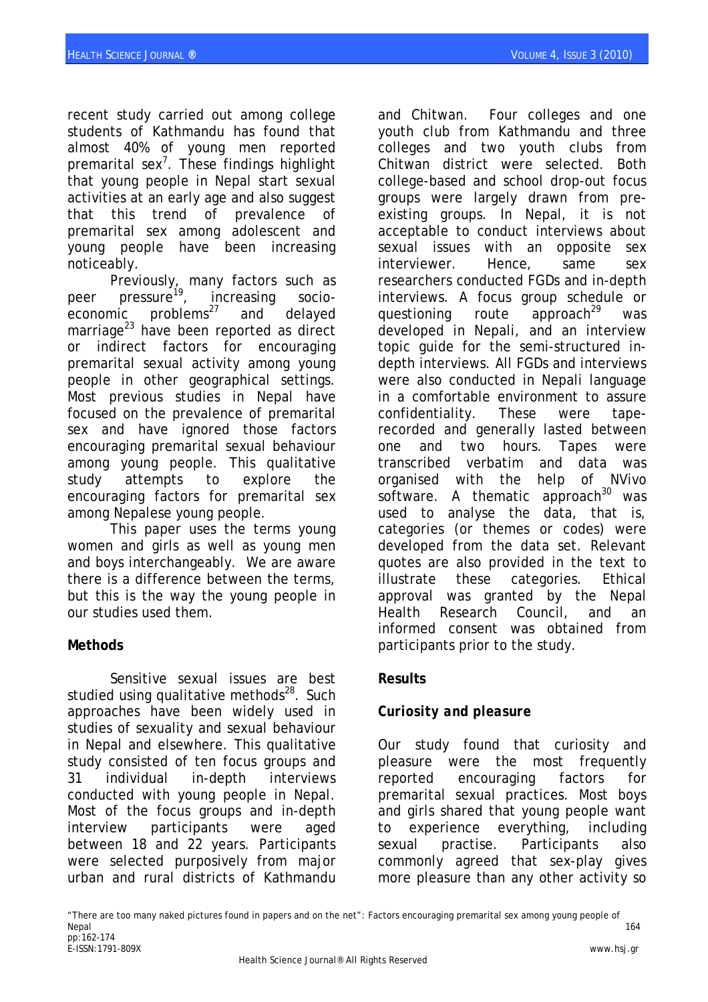recent study carried out among college students of Kathmandu has found that almost 40% of young men reported premarital sex<sup>7</sup>. These findings highlight that young people in Nepal start sexual activities at an early age and also suggest that this trend of prevalence of premarital sex among adolescent and young people have been increasing noticeably.

Previously, many factors such as peer pressure<sup>19</sup>, increasing socioeconomic  $problem<sup>27</sup>$  and delayed marriage $^{23}$  have been reported as direct or indirect factors for encouraging premarital sexual activity among young people in other geographical settings. Most previous studies in Nepal have focused on the prevalence of premarital sex and have ignored those factors encouraging premarital sexual behaviour among young people. This qualitative study attempts to explore the encouraging factors for premarital sex among Nepalese young people.

This paper uses the terms young women and girls as well as young men and boys interchangeably. We are aware there is a difference between the terms, but this is the way the young people in our studies used them.

### **Methods**

Sensitive sexual issues are best studied using qualitative methods<sup>28</sup>. Such approaches have been widely used in studies of sexuality and sexual behaviour in Nepal and elsewhere. This qualitative study consisted of ten focus groups and 31 individual in-depth interviews conducted with young people in Nepal. Most of the focus groups and in-depth interview participants were aged between 18 and 22 years. Participants were selected purposively from major urban and rural districts of Kathmandu

and Chitwan. Four colleges and one youth club from Kathmandu and three colleges and two youth clubs from Chitwan district were selected. Both college-based and school drop-out focus groups were largely drawn from preexisting groups. In Nepal, it is not acceptable to conduct interviews about sexual issues with an opposite sex interviewer. Hence, same sex researchers conducted FGDs and in-depth interviews. A focus group schedule or questioning route approach<sup>29</sup> was developed in Nepali, and an interview topic guide for the semi-structured indepth interviews. All FGDs and interviews were also conducted in Nepali language in a comfortable environment to assure confidentiality. These were taperecorded and generally lasted between one and two hours. Tapes were transcribed verbatim and data was organised with the help of NVivo software. A thematic approach $30$  was used to analyse the data, that is, categories (or themes or codes) were developed from the data set. Relevant quotes are also provided in the text to illustrate these categories. Ethical approval was granted by the Nepal Health Research Council, and an informed consent was obtained from participants prior to the study.

### **Results**

# *Curiosity and pleasure*

Our study found that curiosity and pleasure were the most frequently reported encouraging factors for premarital sexual practices. Most boys and girls shared that young people want to experience everything, including sexual practise. Participants also commonly agreed that sex-play gives more pleasure than any other activity so

"There are too many naked pictures found in papers and on the net": Factors encouraging premarital sex among young people of Nepal 164 pp:162-174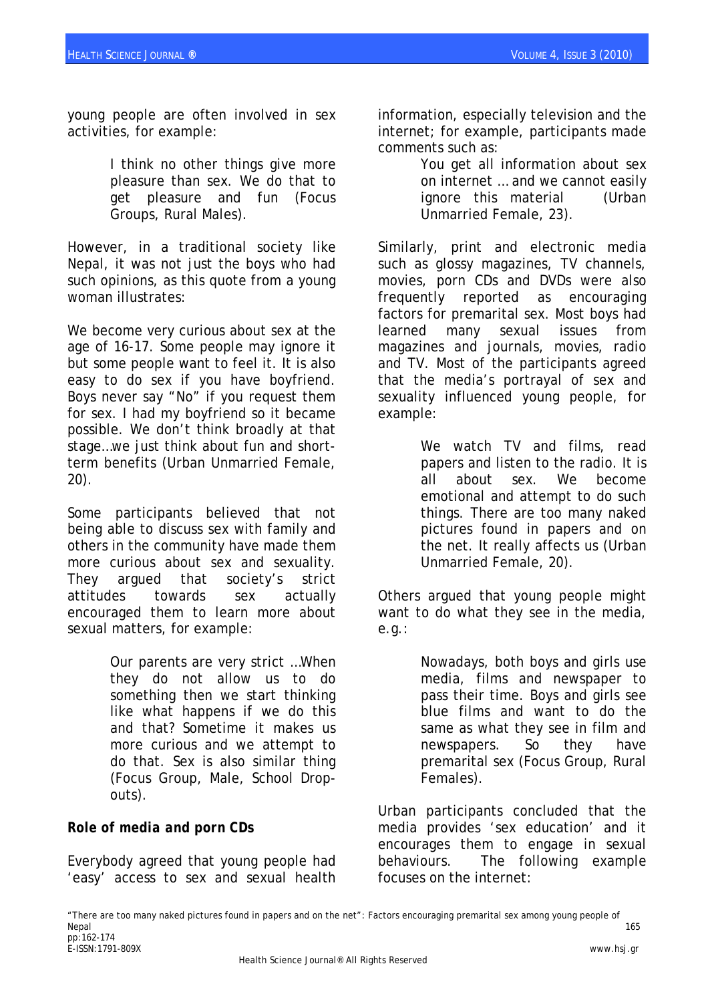young people are often involved in sex activities, for example:

> I think no other things give more pleasure than sex. We do that to get pleasure and fun (Focus Groups, Rural Males).

However, in a traditional society like Nepal, it was not just the boys who had such opinions, as this quote from a young woman illustrates:

We become very curious about sex at the age of 16-17. Some people may ignore it but some people want to feel it. It is also easy to do sex if you have boyfriend. Boys never say "No" if you request them for sex. I had my boyfriend so it became possible. We don't think broadly at that stage…we just think about fun and shortterm benefits (Urban Unmarried Female, 20).

Some participants believed that not being able to discuss sex with family and others in the community have made them more curious about sex and sexuality. They argued that society's strict attitudes towards sex actually encouraged them to learn more about sexual matters, for example:

> Our parents are very strict …When they do not allow us to do something then we start thinking like what happens if we do this and that? Sometime it makes us more curious and we attempt to do that. Sex is also similar thing (Focus Group, Male, School Dropouts).

# *Role of media and porn CDs*

Everybody agreed that young people had 'easy' access to sex and sexual health information, especially television and the internet; for example, participants made comments such as:

> You get all information about sex on internet … and we cannot easily ignore this material (Urban Unmarried Female, 23).

Similarly, print and electronic media such as glossy magazines, TV channels, movies, porn CDs and DVDs were also frequently reported as encouraging factors for premarital sex. Most boys had learned many sexual issues from magazines and journals, movies, radio and TV. Most of the participants agreed that the media's portrayal of sex and sexuality influenced young people, for example:

> We watch TV and films, read papers and listen to the radio. It is all about sex. We become emotional and attempt to do such things. There are too many naked pictures found in papers and on the net. It really affects us (Urban Unmarried Female, 20).

Others argued that young people might want to do what they see in the media, e.g.:

> Nowadays, both boys and girls use media, films and newspaper to pass their time. Boys and girls see blue films and want to do the same as what they see in film and newspapers. So they have premarital sex (Focus Group, Rural Females).

Urban participants concluded that the media provides 'sex education' and it encourages them to engage in sexual behaviours. The following example focuses on the internet: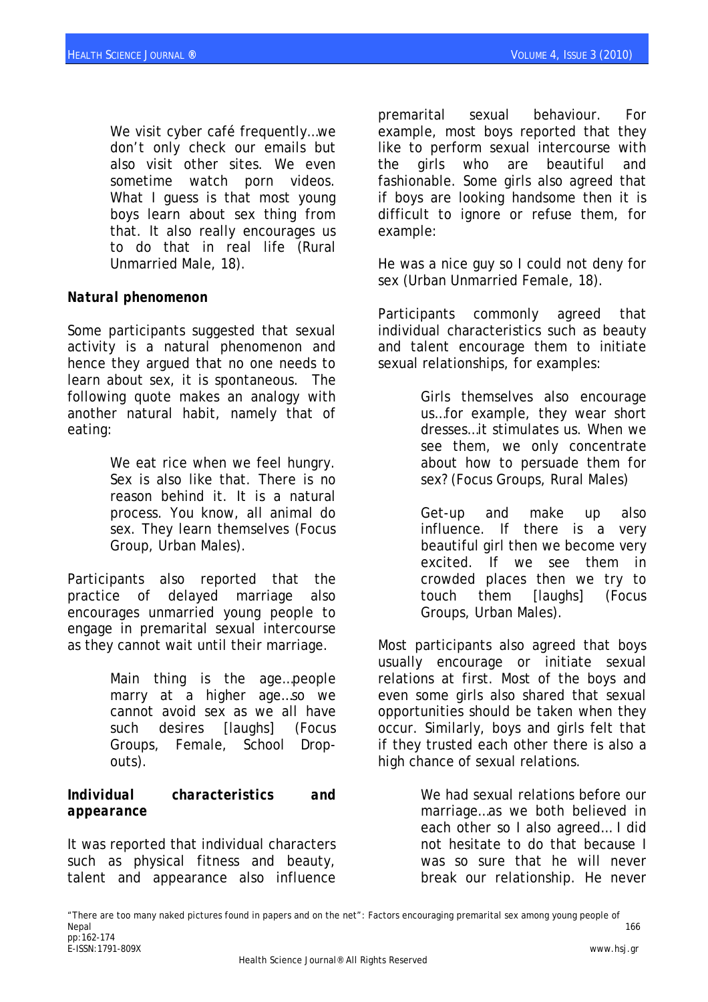We visit cyber café frequently…we don't only check our emails but also visit other sites. We even sometime watch porn videos. What I guess is that most young boys learn about sex thing from that. It also really encourages us to do that in real life (Rural Unmarried Male, 18).

### *Natural phenomenon*

Some participants suggested that sexual activity is a natural phenomenon and hence they argued that no one needs to learn about sex, it is spontaneous. The following quote makes an analogy with another natural habit, namely that of eating:

> We eat rice when we feel hungry. Sex is also like that. There is no reason behind it. It is a natural process. You know, all animal do sex. They learn themselves (Focus Group, Urban Males).

Participants also reported that the practice of delayed marriage also encourages unmarried young people to engage in premarital sexual intercourse as they cannot wait until their marriage.

> Main thing is the age…people marry at a higher age…so we cannot avoid sex as we all have such desires [laughs] (Focus Groups, Female, School Dropouts).

#### *Individual characteristics and appearance*

It was reported that individual characters such as physical fitness and beauty, talent and appearance also influence premarital sexual behaviour. For example, most boys reported that they like to perform sexual intercourse with the girls who are beautiful and fashionable. Some girls also agreed that if boys are looking handsome then it is difficult to ignore or refuse them, for example:

He was a nice guy so I could not deny for sex (Urban Unmarried Female, 18).

Participants commonly agreed that individual characteristics such as beauty and talent encourage them to initiate sexual relationships, for examples:

> Girls themselves also encourage us…for example, they wear short dresses…it stimulates us. When we see them, we only concentrate about how to persuade them for sex? (Focus Groups, Rural Males)

Get-up and make up also influence. If there is a very beautiful girl then we become very excited. If we see them in crowded places then we try to touch them [laughs] (Focus Groups, Urban Males).

Most participants also agreed that boys usually encourage or initiate sexual relations at first. Most of the boys and even some girls also shared that sexual opportunities should be taken when they occur. Similarly, boys and girls felt that if they trusted each other there is also a high chance of sexual relations.

> We had sexual relations before our marriage…as we both believed in each other so I also agreed… I did not hesitate to do that because I was so sure that he will never break our relationship. He never

<sup>&</sup>quot;There are too many naked pictures found in papers and on the net": Factors encouraging premarital sex among young people of Nepal 166 pp:162-174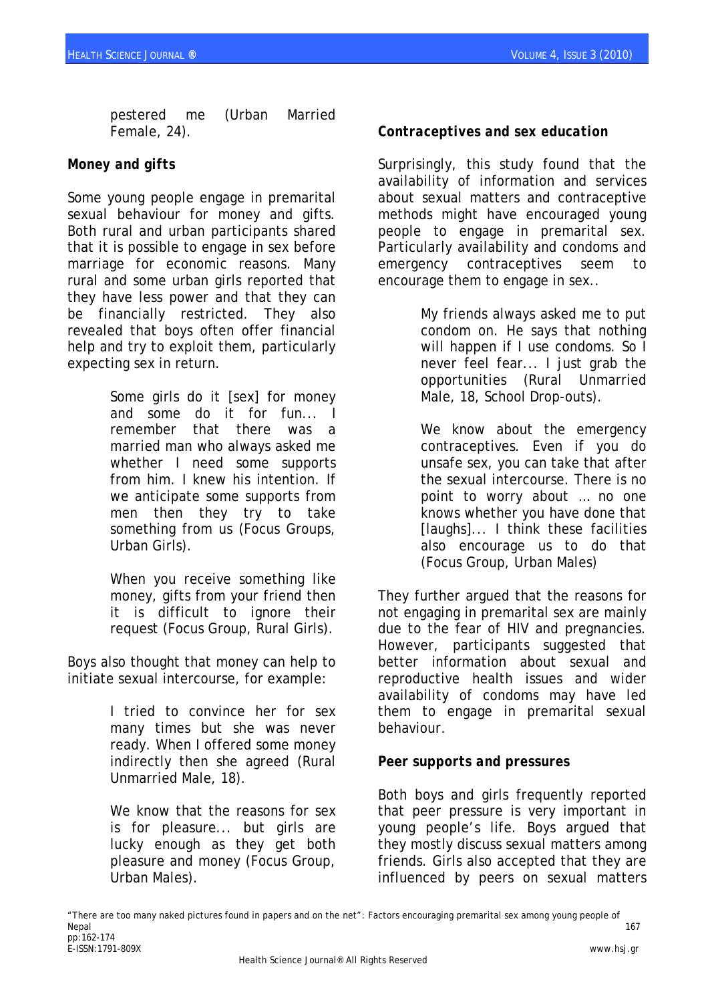pestered me (Urban Married Female, 24).

### *Money and gifts*

Some young people engage in premarital sexual behaviour for money and gifts. Both rural and urban participants shared that it is possible to engage in sex before marriage for economic reasons. Many rural and some urban girls reported that they have less power and that they can be financially restricted. They also revealed that boys often offer financial help and try to exploit them, particularly expecting sex in return.

> Some girls do it [sex] for money and some do it for fun... I remember that there was a married man who always asked me whether I need some supports from him. I knew his intention. If we anticipate some supports from men then they try to take something from us (Focus Groups, Urban Girls).

> When you receive something like money, gifts from your friend then it is difficult to ignore their request (Focus Group, Rural Girls).

Boys also thought that money can help to initiate sexual intercourse, for example:

> I tried to convince her for sex many times but she was never ready. When I offered some money indirectly then she agreed (Rural Unmarried Male, 18).

> We know that the reasons for sex is for pleasure... but girls are lucky enough as they get both pleasure and money (Focus Group, Urban Males).

# *Contraceptives and sex education*

Surprisingly, this study found that the availability of information and services about sexual matters and contraceptive methods might have encouraged young people to engage in premarital sex. Particularly availability and condoms and emergency contraceptives seem to encourage them to engage in sex..

> My friends always asked me to put condom on. He says that nothing will happen if I use condoms. So I never feel fear... I just grab the opportunities (Rural Unmarried Male, 18, School Drop-outs).

> We know about the emergency contraceptives. Even if you do unsafe sex, you can take that after the sexual intercourse. There is no point to worry about … no one knows whether you have done that [laughs]... I think these facilities also encourage us to do that (Focus Group, Urban Males)

They further argued that the reasons for not engaging in premarital sex are mainly due to the fear of HIV and pregnancies. However, participants suggested that better information about sexual and reproductive health issues and wider availability of condoms may have led them to engage in premarital sexual behaviour.

### *Peer supports and pressures*

Both boys and girls frequently reported that peer pressure is very important in young people's life. Boys argued that they mostly discuss sexual matters among friends. Girls also accepted that they are influenced by peers on sexual matters

<sup>&</sup>quot;There are too many naked pictures found in papers and on the net": Factors encouraging premarital sex among young people of Nepal 167 pp:162-174 E-ISSN:1791-809X www.hsj.gr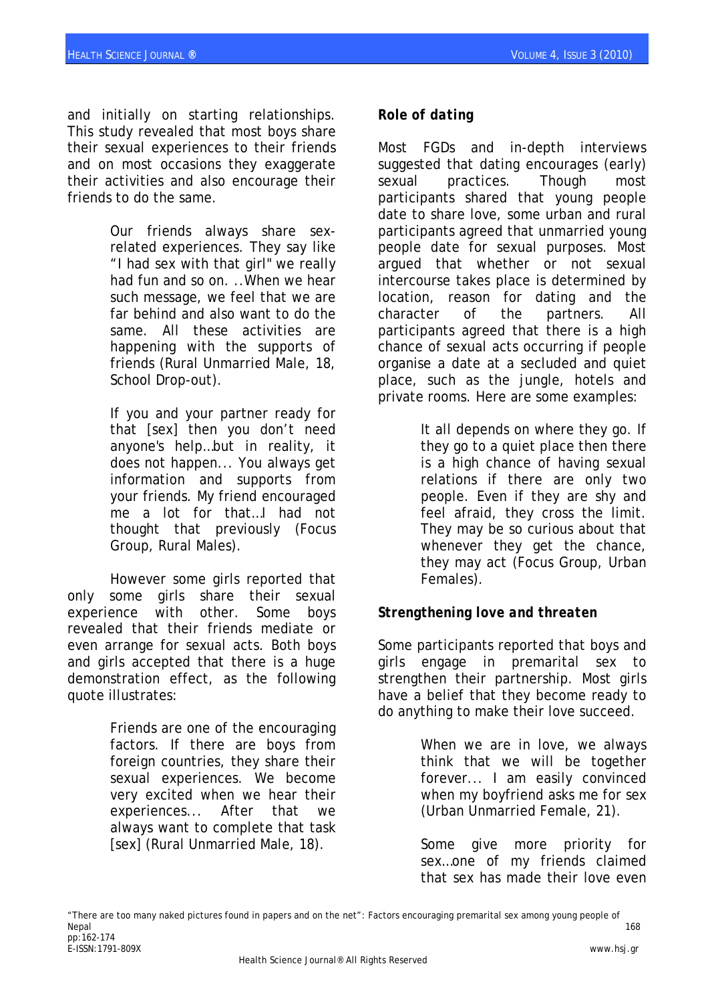and initially on starting relationships. This study revealed that most boys share their sexual experiences to their friends and on most occasions they exaggerate their activities and also encourage their friends to do the same.

> Our friends always share sexrelated experiences. They say like "I had sex with that girl" we really had fun and so on. ..When we hear such message, we feel that we are far behind and also want to do the same. All these activities are happening with the supports of friends (Rural Unmarried Male, 18, School Drop-out).

> If you and your partner ready for that [sex] then you don't need anyone's help…but in reality, it does not happen... You always get information and supports from your friends. My friend encouraged me a lot for that…I had not thought that previously (Focus Group, Rural Males).

However some girls reported that only some girls share their sexual experience with other. Some boys revealed that their friends mediate or even arrange for sexual acts. Both boys and girls accepted that there is a huge demonstration effect, as the following quote illustrates:

> Friends are one of the encouraging factors. If there are boys from foreign countries, they share their sexual experiences. We become very excited when we hear their experiences... After that we always want to complete that task [sex] (Rural Unmarried Male, 18).

## *Role of dating*

Most FGDs and in-depth interviews suggested that dating encourages (early) sexual practices. Though most participants shared that young people date to share love, some urban and rural participants agreed that unmarried young people date for sexual purposes. Most argued that whether or not sexual intercourse takes place is determined by location, reason for dating and the character of the partners. All participants agreed that there is a high chance of sexual acts occurring if people organise a date at a secluded and quiet place, such as the jungle, hotels and private rooms. Here are some examples:

> It all depends on where they go. If they go to a quiet place then there is a high chance of having sexual relations if there are only two people. Even if they are shy and feel afraid, they cross the limit. They may be so curious about that whenever they get the chance, they may act (Focus Group, Urban Females).

# *Strengthening love and threaten*

Some participants reported that boys and girls engage in premarital sex to strengthen their partnership. Most girls have a belief that they become ready to do anything to make their love succeed.

> When we are in love, we always think that we will be together forever... I am easily convinced when my boyfriend asks me for sex (Urban Unmarried Female, 21).

> Some give more priority for sex…one of my friends claimed that sex has made their love even

<sup>&</sup>quot;There are too many naked pictures found in papers and on the net": Factors encouraging premarital sex among young people of Nepal 168 pp:162-174 E-ISSN:1791-809X www.hsj.gr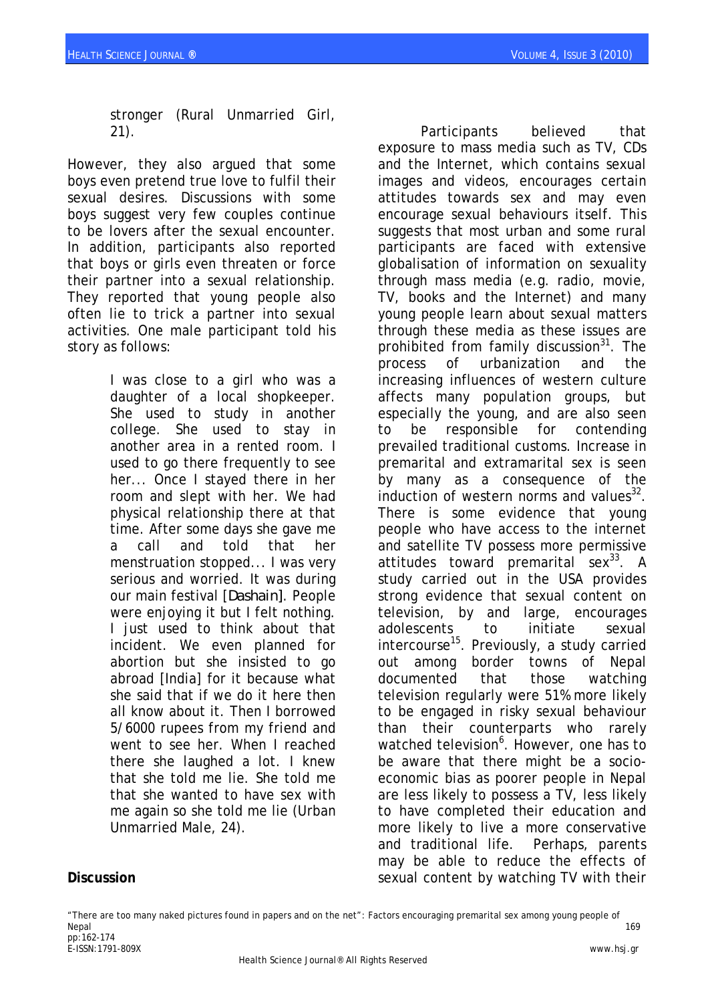stronger (Rural Unmarried Girl, 21).

However, they also argued that some boys even pretend true love to fulfil their sexual desires. Discussions with some boys suggest very few couples continue to be lovers after the sexual encounter. In addition, participants also reported that boys or girls even threaten or force their partner into a sexual relationship. They reported that young people also often lie to trick a partner into sexual activities. One male participant told his story as follows:

> I was close to a girl who was a daughter of a local shopkeeper. She used to study in another college. She used to stay in another area in a rented room. I used to go there frequently to see her... Once I stayed there in her room and slept with her. We had physical relationship there at that time. After some days she gave me a call and told that her menstruation stopped... I was very serious and worried. It was during our main festival [*Dashain]*. People were enjoying it but I felt nothing. I just used to think about that incident. We even planned for abortion but she insisted to go abroad [India] for it because what she said that if we do it here then all know about it. Then I borrowed 5/6000 rupees from my friend and went to see her. When I reached there she laughed a lot. I knew that she told me lie. She told me that she wanted to have sex with me again so she told me lie (Urban Unmarried Male, 24).

Participants believed that exposure to mass media such as TV, CDs and the Internet, which contains sexual images and videos, encourages certain attitudes towards sex and may even encourage sexual behaviours itself. This suggests that most urban and some rural participants are faced with extensive globalisation of information on sexuality through mass media (e.g. radio, movie, TV, books and the Internet) and many young people learn about sexual matters through these media as these issues are prohibited from family discussion $31$ . The process of urbanization and the increasing influences of western culture affects many population groups, but especially the young, and are also seen to be responsible for contending prevailed traditional customs. Increase in premarital and extramarital sex is seen by many as a consequence of the induction of western norms and values $^{32}$ . There is some evidence that young people who have access to the internet and satellite TV possess more permissive attitudes toward premarital sex<sup>33</sup>. A study carried out in the USA provides strong evidence that sexual content on television, by and large, encourages adolescents to initiate sexual intercourse<sup>15</sup>. Previously, a study carried out among border towns of Nepal documented that those watching television regularly were 51% more likely to be engaged in risky sexual behaviour than their counterparts who rarely watched television<sup>6</sup>. However, one has to be aware that there might be a socioeconomic bias as poorer people in Nepal are less likely to possess a TV, less likely to have completed their education and more likely to live a more conservative and traditional life. Perhaps, parents may be able to reduce the effects of sexual content by watching TV with their

### **Discussion**

"There are too many naked pictures found in papers and on the net": Factors encouraging premarital sex among young people of Nepal 169 pp:162-174 E-ISSN:1791-809X www.hsj.gr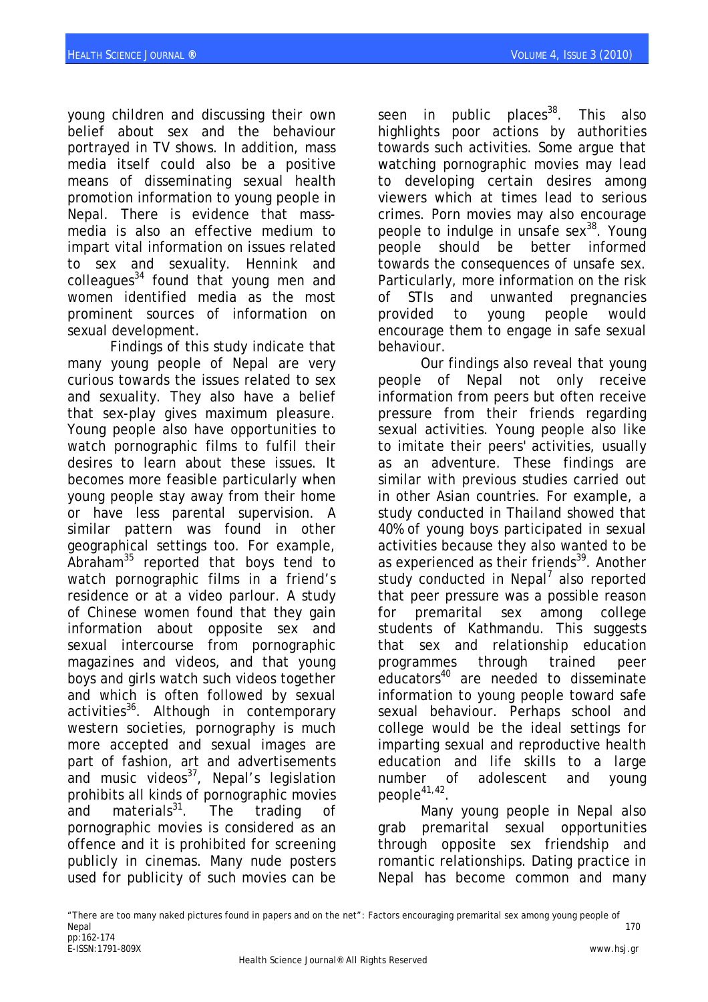young children and discussing their own belief about sex and the behaviour portrayed in TV shows. In addition, mass media itself could also be a positive means of disseminating sexual health promotion information to young people in Nepal. There is evidence that massmedia is also an effective medium to impart vital information on issues related to sex and sexuality. Hennink and colleagues $34$  found that young men and women identified media as the most prominent sources of information on sexual development.

Findings of this study indicate that many young people of Nepal are very curious towards the issues related to sex and sexuality. They also have a belief that sex-play gives maximum pleasure. Young people also have opportunities to watch pornographic films to fulfil their desires to learn about these issues. It becomes more feasible particularly when young people stay away from their home or have less parental supervision. A similar pattern was found in other geographical settings too. For example, Abraham $35$  reported that boys tend to watch pornographic films in a friend's residence or at a video parlour. A study of Chinese women found that they gain information about opposite sex and sexual intercourse from pornographic magazines and videos, and that young boys and girls watch such videos together and which is often followed by sexual activities<sup>36</sup>. Although in contemporary western societies, pornography is much more accepted and sexual images are part of fashion, art and advertisements and music videos $37$ , Nepal's legislation prohibits all kinds of pornographic movies and materials $31$ . The trading pornographic movies is considered as an offence and it is prohibited for screening publicly in cinemas. Many nude posters used for publicity of such movies can be

seen in public places<sup>38</sup>. This also highlights poor actions by authorities towards such activities. Some argue that watching pornographic movies may lead to developing certain desires among viewers which at times lead to serious crimes. Porn movies may also encourage people to indulge in unsafe sex $38$ . Young people should be better informed towards the consequences of unsafe sex. Particularly, more information on the risk of STIs and unwanted pregnancies provided to young people would encourage them to engage in safe sexual behaviour.

Our findings also reveal that young people of Nepal not only receive information from peers but often receive pressure from their friends regarding sexual activities. Young people also like to imitate their peers' activities, usually as an adventure. These findings are similar with previous studies carried out in other Asian countries. For example, a study conducted in Thailand showed that 40% of young boys participated in sexual activities because they also wanted to be as experienced as their friends<sup>39</sup>. Another study conducted in Nepal<sup>7</sup> also reported that peer pressure was a possible reason for premarital sex among college students of Kathmandu. This suggests that sex and relationship education programmes through trained peer educators<sup>40</sup> are needed to disseminate information to young people toward safe sexual behaviour. Perhaps school and college would be the ideal settings for imparting sexual and reproductive health education and life skills to a large number of adolescent and young people<sup>41,42</sup>

Many young people in Nepal also grab premarital sexual opportunities through opposite sex friendship and romantic relationships. Dating practice in Nepal has become common and many

<sup>&</sup>quot;There are too many naked pictures found in papers and on the net": Factors encouraging premarital sex among young people of Nepal 170 pp:162-174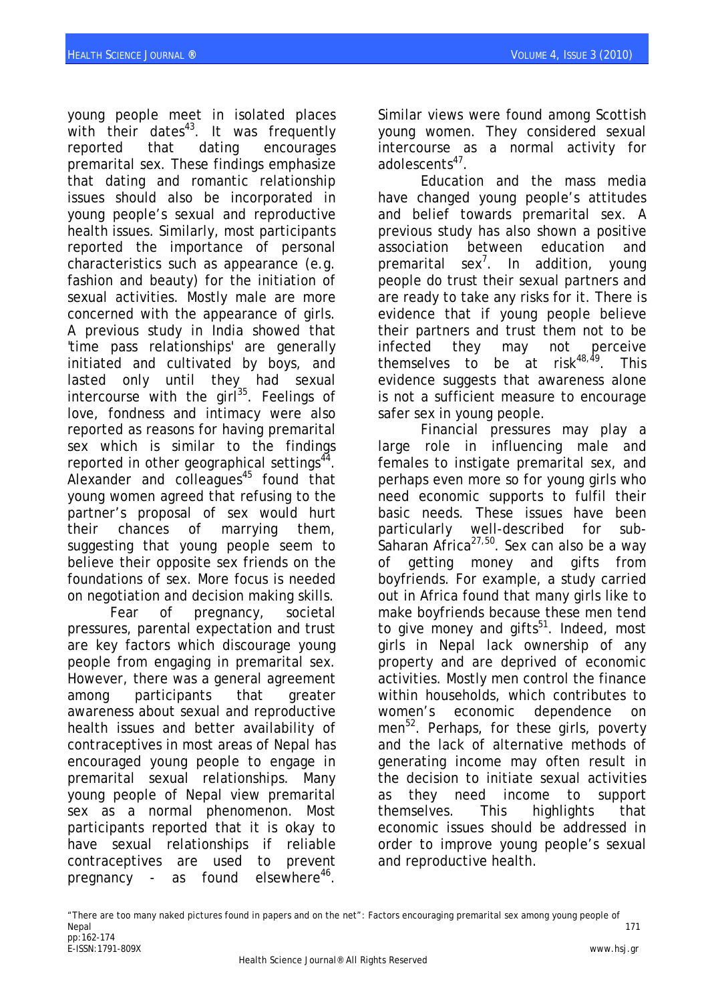young people meet in isolated places with their dates $43$ . It was frequently reported that dating encourages premarital sex. These findings emphasize that dating and romantic relationship issues should also be incorporated in young people's sexual and reproductive health issues. Similarly, most participants reported the importance of personal characteristics such as appearance (e.g. fashion and beauty) for the initiation of sexual activities. Mostly male are more concerned with the appearance of girls. A previous study in India showed that 'time pass relationships' are generally initiated and cultivated by boys, and lasted only until they had sexual intercourse with the girl $^{35}$ . Feelings of love, fondness and intimacy were also reported as reasons for having premarital sex which is similar to the findings reported in other geographical settings $44$ . Alexander and colleagues $45$  found that young women agreed that refusing to the partner's proposal of sex would hurt their chances of marrying them, suggesting that young people seem to believe their opposite sex friends on the foundations of sex. More focus is needed on negotiation and decision making skills.

Fear of pregnancy, societal pressures, parental expectation and trust are key factors which discourage young people from engaging in premarital sex. However, there was a general agreement among participants that greater awareness about sexual and reproductive health issues and better availability of contraceptives in most areas of Nepal has encouraged young people to engage in premarital sexual relationships. Many young people of Nepal view premarital sex as a normal phenomenon. Most participants reported that it is okay to have sexual relationships if reliable contraceptives are used to prevent pregnancy - as found elsewhere<sup>46</sup>.

Similar views were found among Scottish young women. They considered sexual intercourse as a normal activity for adolescents<sup>47</sup>

Education and the mass media have changed young people's attitudes and belief towards premarital sex. A previous study has also shown a positive association between education and premarital sex<sup>7</sup>. In addition, young people do trust their sexual partners and are ready to take any risks for it. There is evidence that if young people believe their partners and trust them not to be infected they may not perceive themselves to be at risk $48,49$ . This evidence suggests that awareness alone is not a sufficient measure to encourage safer sex in young people.

Financial pressures may play a large role in influencing male and females to instigate premarital sex, and perhaps even more so for young girls who need economic supports to fulfil their basic needs. These issues have been particularly well-described for sub-Saharan Africa $27,50$ . Sex can also be a way of getting money and gifts from boyfriends. For example, a study carried out in Africa found that many girls like to make boyfriends because these men tend to give money and gifts<sup>51</sup>. Indeed, most girls in Nepal lack ownership of any property and are deprived of economic activities. Mostly men control the finance within households, which contributes to women's economic dependence on men<sup>52</sup>. Perhaps, for these girls, poverty and the lack of alternative methods of generating income may often result in the decision to initiate sexual activities as they need income to support themselves. This highlights that economic issues should be addressed in order to improve young people's sexual and reproductive health.

<sup>&</sup>quot;There are too many naked pictures found in papers and on the net": Factors encouraging premarital sex among young people of Nepal 171 pp:162-174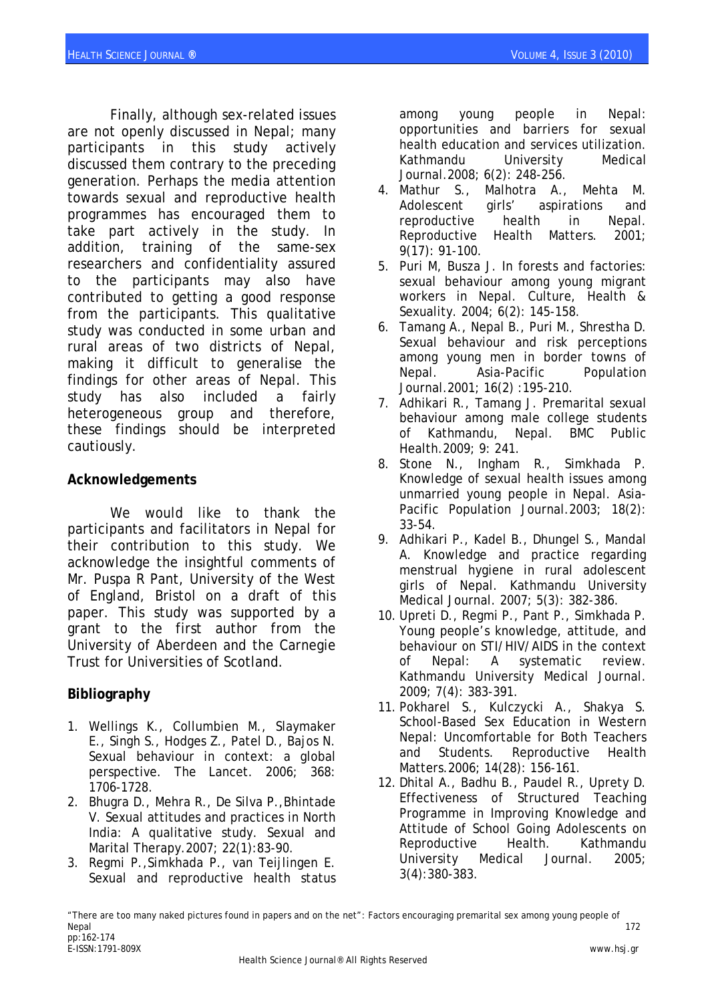Finally, although sex-related issues are not openly discussed in Nepal; many participants in this study actively discussed them contrary to the preceding generation. Perhaps the media attention towards sexual and reproductive health programmes has encouraged them to take part actively in the study. In addition, training of the same-sex researchers and confidentiality assured to the participants may also have contributed to getting a good response from the participants. This qualitative study was conducted in some urban and rural areas of two districts of Nepal, making it difficult to generalise the findings for other areas of Nepal. This study has also included a fairly heterogeneous group and therefore, these findings should be interpreted cautiously.

### **Acknowledgements**

We would like to thank the participants and facilitators in Nepal for their contribution to this study. We acknowledge the insightful comments of Mr. Puspa R Pant, University of the West of England, Bristol on a draft of this paper. This study was supported by a grant to the first author from the University of Aberdeen and the Carnegie Trust for Universities of Scotland.

# **Bibliography**

- 1. Wellings K., Collumbien M., Slaymaker E., Singh S., Hodges Z., Patel D., Bajos N. Sexual behaviour in context: a global perspective. The Lancet. 2006; 368: 1706-1728.
- 2. Bhugra D., Mehra R., De Silva P.,Bhintade V. Sexual attitudes and practices in North India: A qualitative study. Sexual and Marital Therapy.2007; 22(1):83-90.
- 3. Regmi P.,Simkhada P., van Teijlingen E. Sexual and reproductive health status

among young people in Nepal: opportunities and barriers for sexual health education and services utilization. Kathmandu University Medical Journal.2008; 6(2): 248-256.

- 4. Mathur S., Malhotra A., Mehta M. Adolescent girls' aspirations and reproductive health in Nepal. Reproductive Health Matters. 2001; 9(17): 91-100.
- 5. Puri M, Busza J. [In forests and factories:](http://www.informaworld.com/index/714079856.pdf)  [sexual behaviour among young migrant](http://www.informaworld.com/index/714079856.pdf)  [workers in Nepal](http://www.informaworld.com/index/714079856.pdf). Culture, Health & Sexuality. 2004; 6(2): 145-158.
- 6. Tamang A., Nepal B., Puri M., Shrestha D. Sexual behaviour and risk perceptions among young men in border towns of Nepal. Asia-Pacific Population Journal.2001; 16(2) :195-210.
- 7. Adhikari R., Tamang J. Premarital sexual behaviour among male college students of Kathmandu, Nepal. BMC Public Health.2009; 9: 241.
- 8. Stone N., Ingham R., Simkhada P. Knowledge of sexual health issues among unmarried young people in Nepal. Asia-Pacific Population Journal.2003; 18(2): 33-54.
- 9. Adhikari P., Kadel B., Dhungel S., Mandal A. Knowledge and practice regarding menstrual hygiene in rural adolescent girls of Nepal. Kathmandu University Medical Journal. 2007; 5(3): 382-386.
- 10. Upreti D., Regmi P., Pant P., Simkhada P. Young people's knowledge, attitude, and behaviour on STI/HIV/AIDS in the context of Nepal: A systematic review. Kathmandu University Medical Journal. 2009; 7(4): 383-391.
- 11. Pokharel S., Kulczycki A., Shakya S. School-Based Sex Education in Western Nepal: Uncomfortable for Both Teachers and Students. Reproductive Health Matters.2006; 14(28): 156-161.
- 12. Dhital A., Badhu B., Paudel R., Uprety D. Effectiveness of Structured Teaching Programme in Improving Knowledge and Attitude of School Going Adolescents on Reproductive Health. Kathmandu University Medical Journal. 2005; 3(4):380-383.

<sup>&</sup>quot;There are too many naked pictures found in papers and on the net": Factors encouraging premarital sex among young people of Nepal 172 pp:162-174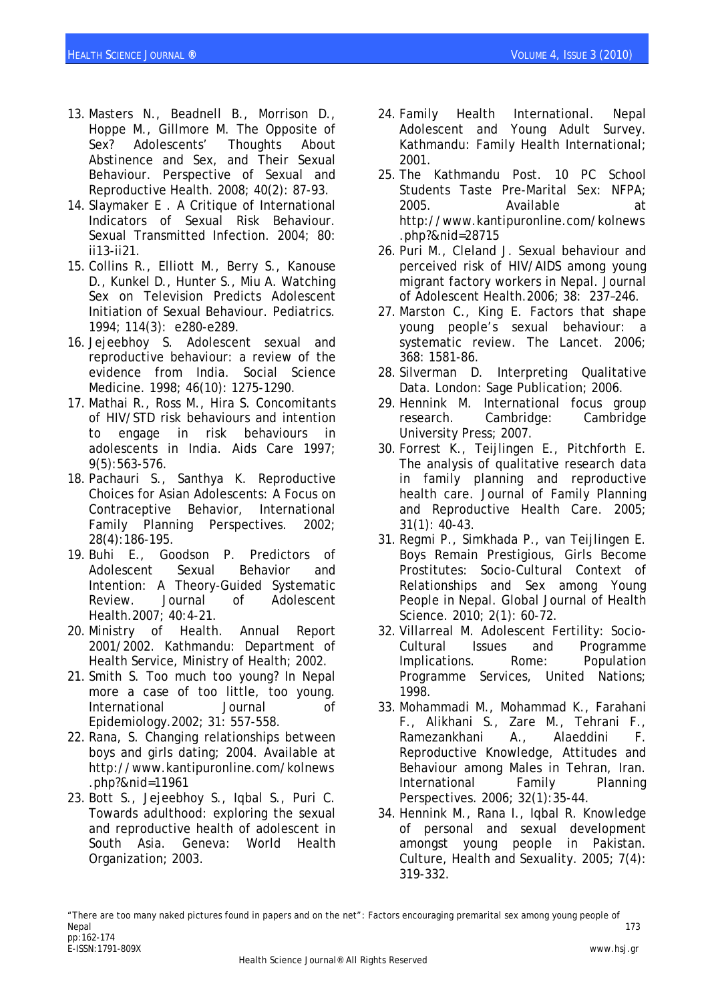- 13. Masters N., Beadnell B., Morrison D., Hoppe M., Gillmore M. The Opposite of Sex? Adolescents' Thoughts About Abstinence and Sex, and Their Sexual Behaviour. Perspective of Sexual and Reproductive Health. 2008; 40(2): 87-93.
- 14. Slaymaker E . A Critique of International Indicators of Sexual Risk Behaviour. Sexual Transmitted Infection. 2004; 80: ii13-ii21.
- 15. Collins R., Elliott M., Berry S., Kanouse D., Kunkel D., Hunter S., Miu A. Watching Sex on Television Predicts Adolescent Initiation of Sexual Behaviour. Pediatrics. 1994; 114(3): e280-e289.
- 16. Jejeebhoy S. Adolescent sexual and reproductive behaviour: a review of the evidence from India. Social Science Medicine. 1998; 46(10): 1275-1290.
- 17. Mathai R., Ross M., Hira S. Concomitants of HIV/STD risk behaviours and intention to engage in risk behaviours in adolescents in India. Aids Care 1997; 9(5):563-576.
- 18. Pachauri S., Santhya K. Reproductive Choices for Asian Adolescents: A Focus on Contraceptive Behavior, International Family Planning Perspectives. 2002; 28(4):186-195.
- 19. Buhi E., Goodson P. Predictors of Adolescent Sexual Behavior and Intention: A Theory-Guided Systematic Review. Journal of Adolescent Health.2007; 40:4-21.
- 20. Ministry of Health. Annual Report 2001/2002. Kathmandu: Department of Health Service, Ministry of Health; 2002.
- 21. Smith S. Too much too young? In Nepal more a case of too little, too young. International Journal of Epidemiology.2002; 31: 557-558.
- 22. Rana, S. Changing relationships between boys and girls dating; 2004. Available at [http://www.kantipuronline.com/kolnews](http://www.kantipuronline.com/kolnews.php?&nid=11961) [.php?&nid=11961](http://www.kantipuronline.com/kolnews.php?&nid=11961)
- 23. Bott S., Jejeebhoy S., Iqbal S., Puri C. Towards adulthood: exploring the sexual and reproductive health of adolescent in South Asia. Geneva: World Health Organization; 2003.
- 24. Family Health International. Nepal Adolescent and Young Adult Survey. Kathmandu: Family Health International; 2001.
- 25. The Kathmandu Post. 10 PC School Students Taste Pre-Marital Sex: NFPA; 2005. Available at http://www.kantipuronline.com/kolnews .php?&nid=28715
- 26. Puri M., Cleland J. Sexual behaviour and perceived risk of HIV/AIDS among young migrant factory workers in Nepal. Journal of Adolescent Health.2006; 38: 237–246.
- 27. Marston C., King E. Factors that shape young people's sexual behaviour: a systematic review. The Lancet. 2006; 368: 1581-86.
- 28. Silverman D. Interpreting Qualitative Data. London: Sage Publication; 2006.
- 29. Hennink M. International focus group research. Cambridge: Cambridge University Press; 2007.
- 30. Forrest K., Teijlingen E., Pitchforth E. The analysis of qualitative research data in family planning and reproductive health care. Journal of Family Planning and Reproductive Health Care. 2005; 31(1): 40-43.
- 31. Regmi P., Simkhada P., van Teijlingen E. Boys Remain Prestigious, Girls Become Prostitutes: Socio-Cultural Context of Relationships and Sex among Young People in Nepal. Global Journal of Health Science. 2010; 2(1): 60-72.
- 32. Villarreal M. Adolescent Fertility: Socio-Cultural Issues and Programme Implications. Rome: Population Programme Services, United Nations; 1998.
- 33. Mohammadi M., Mohammad K., Farahani F., Alikhani S., Zare M., Tehrani F., Ramezankhani A., Alaeddini F. Reproductive Knowledge, Attitudes and Behaviour among Males in Tehran, Iran. International Family Planning Perspectives. 2006; 32(1):35-44.
- 34. Hennink M., Rana I., Iqbal R. Knowledge of personal and sexual development amongst young people in Pakistan. Culture, Health and Sexuality. 2005; 7(4): 319-332.

<sup>&</sup>quot;There are too many naked pictures found in papers and on the net": Factors encouraging premarital sex among young people of Nepal 173 pp:162-174 E-ISSN:1791-809X www.hsj.gr